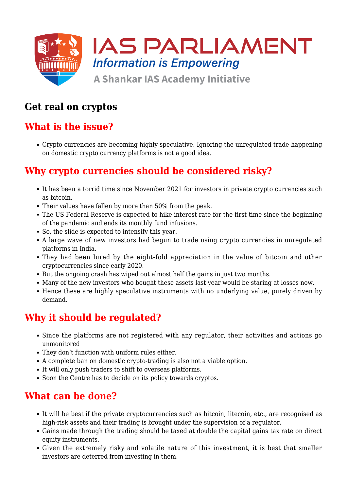

# **Get real on cryptos**

# **What is the issue?**

Crypto currencies are becoming highly speculative. Ignoring the unregulated trade happening on domestic crypto currency platforms is not a good idea.

# **Why crypto currencies should be considered risky?**

- It has been a torrid time since November 2021 for investors in private crypto currencies such as bitcoin.
- Their values have fallen by more than 50% from the peak.
- The US Federal Reserve is expected to hike interest rate for the first time since the beginning of the pandemic and ends its monthly fund infusions.
- So, the slide is expected to intensify this year.
- A large wave of new investors had begun to trade using crypto currencies in unregulated platforms in India.
- They had been lured by the eight-fold appreciation in the value of bitcoin and other cryptocurrencies since early 2020.
- But the ongoing crash has wiped out almost half the gains in just two months.
- Many of the new investors who bought these assets last year would be staring at losses now.
- Hence these are highly speculative instruments with no underlying value, purely driven by demand.

# **Why it should be regulated?**

- Since the platforms are not registered with any regulator, their activities and actions go unmonitored
- They don't function with uniform rules either.
- A complete ban on domestic crypto-trading is also not a viable option.
- It will only push traders to shift to overseas platforms.
- Soon the Centre has to decide on its policy towards cryptos.

#### **What can be done?**

- It will be best if the private cryptocurrencies such as bitcoin, litecoin, etc., are recognised as high-risk assets and their trading is brought under the supervision of a regulator.
- Gains made through the trading should be taxed at double the capital gains tax rate on direct equity instruments.
- Given the extremely risky and volatile nature of this investment, it is best that smaller investors are deterred from investing in them.